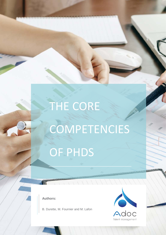## THE CORE

# COMPETENCIES OF PHDS

**Authors:**

B. Durette, M. Fournier and M. Lafon

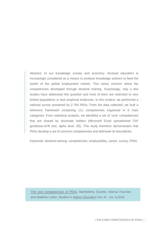Abstract: In our knowledge society and economy, doctoral education is increasingly considered as a means to produce knowledge workers to feed the needs of the global employment market. This raises concern about the competencies developed through doctoral training. Surprisingly, only a few studies have addressed this question and most of them are restricted to very limited populations or lack empirical evidences. In this context, we performed a national survey answered by 2 794 PhDs. From the data collected, we built a reference framework containing 111 competencies organized in 6 main categories. From statistical analysis, we identified a set of 'core' competencies that are shared by doctorate holders (Microsoft Excel spreadsheet Chi² goodness-of-fit test, alpha level .05). This study therefore demonstrates that PhDs develop a set of common competencies and delineate its boundaries.

Keywords: doctoral training, competencies, employability, career, survey, PhDs

[The core competencies of PhDs,](http://www.tandfonline.com/doi/abs/10.1080/03075079.2014.968540) Barthélémy Durette, Marina Fournier, and Matthieu Lafon, [Studies in Higher Education](http://www.tandfonline.com/toc/cshe20/41/8) Vol. 41 , Iss. 8,2016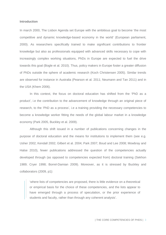#### **Introduction**

In march 2000, The Lisbon Agenda set Europe with the ambitious goal to become 'the most competitive and dynamic knowledge-based economy in the world' (European parliament, 2000). As researchers specifically trained to make significant contributions to frontier knowledge but also as professionals equipped with advanced skills necessary to cope with increasingly complex working situations, PhDs in Europe are expected to fuel the drive towards this goal (Bogle et al. 2010). Thus, policy makers in Europe foster a greater diffusion of PhDs outside the sphere of academic research (Koch Christensen 2005). Similar trends are observed for instance in Australia (Pearson et al. 2011; Neumann and Tan 2011) and in the USA (Khem 2006).

In this context, the focus on doctoral education has shifted from the 'PhD as a product', i.e the contribution to the advancement of knowledge through an original piece of research, to the 'PhD as a process', i.e a training providing the necessary competencies to become a knowledge worker fitting the needs of the global labour market in a knowledge economy (Park 2005, Buckley et al. 2009).

Although this shift issued in a number of publications concerning changes in the purpose of doctoral education and the means for institutions to implement them (see e.g. Usher 2002; Kendall 2002; Gilbert et al. 2004; Park 2007; Boud and Lee 2008; Mowbray and Halse 2010), fewer publications addressed the question of the competencies actually developed through (as opposed to competencies expected from) doctoral training (Sekhon 1989; Cryer 1998; Borrel-Damian 2009). Moreover, as it is stressed by Buckley and collaborators (2009, p1):

'where lists of competencies are proposed, there is little evidence on a theoretical or empirical basis for the choice of these competencies, and the lists appear to have emerged through a process of speculation, or the prior experience of students and faculty, rather than through any coherent analysis'.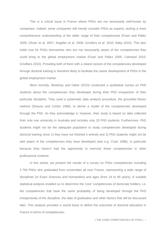This is a critical issue in France where PhDs are not necessarily well-known by companies. Indeed, some companies still merely consider PhDs as experts, lacking a more comprehensive understanding of the wider range of their competencies (Fixari and Pallez 2005; Olivier et al. 2007; Angelier et al. 2009; Grivillers et al. 2010; Baby 2010). This also holds true for PhDs themselves who are not necessarily aware of the competencies they could bring to the global employment market (Fixari and Pallez 2005; Calmand 2010; Grivilliers 2010). Providing both of them with a clearer picture of the competencies developed through doctoral training is therefore likely to facilitate the career development of PhDs in the global employment market.

More recently, Mowbray and Halse (2010) conducted a qualitative survey on PhD students about the competencies they developed during their PhD irrespective of their particular discipline. They used a systematic data analysis procedure, the grounded theory method (Strauss and Corbin 1998), to derive a model of the competencies developed through the PhD. As they acknowledge it, however, their study is based on data collected from only one university in Australia and includes only 20 PhD students. Furthermore, PhD students might not be the adequate population to study competencies developed during doctoral training since 1) they have not finished it entirely and 2) PhD students might not be well aware of the competencies they have developed (see e.g. Cryer 1998), in particular because they haven't had the opportunity to exercise these competencies in other professional contexts.

In this article, we present the results of a survey on PhDs competencies including 2 794 PhDs who graduated from universities all over France, representing a wide range of disciplines (in Exact Sciences and Humanities) and ages (from 24 to 90 years). A suitable statistical analysis enabled us to determine the 'core' competencies of doctorate holders, i.e. the competencies that have the same probability of being developed through the PhD irrespectively of the discipline, the date of graduation and other factors that will be discussed later. This analysis provides a sound basis to define the outcomes of doctoral education in France in terms of competencies.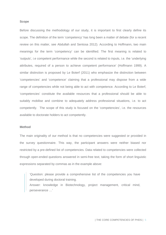#### **Scope**

Before discussing the methodology of our study, it is important to first clearly define its scope. The definition of the term 'competency' has long been a matter of debate (for a recent review on this matter, see Abdullah and Sentosa 2012). According to Hoffmann, two main meanings for the term 'competency' can be identified. The first meaning is related to 'outputs', i.e competent performance while the second is related to inputs, i.e. the 'underlying attributes, required of a person to achieve competent performance' (Hoffmann 1999). A similar distinction is proposed by Le Boterf (2011) who emphasize the distinction between 'competencies' and 'competence' claiming that a professional may dispose from a wide range of competencies while not being able to act with competence. According to Le Boterf, 'competencies' constitute the available resources that a professional should be able to suitably mobilise and combine to adequately address professional situations, i.e. to act competently. The scope of this study is focused on the 'competencies', i.e. the resources available to doctorate holders to act competently.

#### **Method**

The main originality of our method is that no competencies were suggested or provided in the survey questionnaire. This way, the participant answers were neither biased nor restricted by a pre-defined list of competencies. Data related to competencies were collected through open-ended questions answered in semi-free text, taking the form of short linguistic expressions separated by commas as in the example above:

'Question: please provide a comprehensive list of the competencies you have developed during doctoral training.

Answer: knowledge in Biotechnology, project management, critical mind, perseverance …'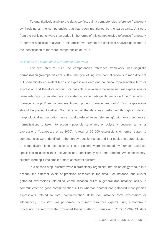To quantitatively analyze the data, we first built a competencies reference framework synthesizing all the competencies that had been mentioned by the participants. Answers from the participants were then coded in the terms of this competencies reference framework to perform statistical analysis. In this article, we present the statistical analysis dedicated to the identification of the 'core' competencies of PhDs.

#### *Building of the competencies reference framework*

The first step to build the competencies reference framework was linguistic normalization (Arampatzis et al. 2000). The goal of linguistic normalization is to map different but semantically equivalent terms or expressions onto one canonical representative term or expression and therefore account for possible equivalence between natural expressions or terms referring to competencies. For instance, some participants mentioned their "capacity to manage a project" and others mentioned "project management skills". Such expressions should be pooled together. Normalization of the data was performed through combining morphological normalization, more usually refered to as "stemming", with lexico-semantical normalization, to take into account possible synonymy or polysemy between terms or expressions (Arampatzis et al. 2000). A total of 16 000 expressions or terms related to competencies were identified in the survey questionnaires and first pooled into 500 clusters of semantically close expressions. These clusters were inspected by human resources specialists to assess their relevance and consistency and then labeled. When necessary, clusters were split into smaller, more consistent clusters.

In a second step, clusters were hierarchically organized into an ontology to take into account the different levels of precision observed in the data. For instance, one cluster gathered expressions related to 'communication skills' in general (for instance 'ability to communicate' or 'good communication skills') whereas another one gathered more precise expressions related to 'oral communication skills' (for instance 'oral expression' or 'eloquence'). This step was performed by human resources experts using a bottom-up procedure inspired from the grounded theory method (Strauss and Corbin 1998). Clusters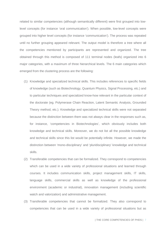related to similar competencies (although semantically different) were first grouped into lowlevel concepts (for instance 'oral communication'). When possible, low-level concepts were grouped into higher level concepts (for instance 'communication'). The process was repeated until no further grouping appeared relevant. The output model is therefore a tree where all the competencies mentioned by participants are represented and organized. The tree obtained through this method is composed of 111 terminal nodes (leafs) organized into 6 major categories, with a maximum of three hierarchical levels. The 6 main categories which emerged from the clustering process are the following:

- (1) Knowledge and specialized technical skills. This includes references to specific fields of knowledge (such as Biotechnology, Quantum Physics, Signal Processing, etc.) and to particular techniques and specialized know-how relevant in the particular context of the doctorate (eg. Polymerase Chain Reaction, Latent Semantic Analysis, Grounded Theory method, etc.). Knowledge and specialized technical skills were not separated because the distinction between them was not always clear in the responses such as, for instance, 'competencies in Biotechnologies', which obviously includes both knowledge and technical skills. Moreover, we do not list all the possible knowledge and technical skills since this list would be potentially infinite. However, we made the distinction between 'mono-disciplinary' and 'pluridisciplinary' knowledge and technical skills.
- (2) Transferable competencies that can be formalized. They correspond to competencies which can be used in a wide variety of professional situations and learned through courses. It includes communication skills, project management skills, IT skills, language skills, commercial skills as well as knowledge of the professional environment (academic or industrial), innovation management (including scientific watch and valorization) and administrative management.
- (3) Transferable competencies that cannot be formalized. They also correspond to competencies that can be used in a wide variety of professional situations but as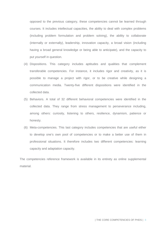opposed to the previous category, these competencies cannot be learned through courses. It includes intellectual capacities, the ability to deal with complex problems (including problem formulation and problem solving), the ability to collaborate (internally or externally), leadership, innovation capacity, a broad vision (including having a broad general knowledge or being able to anticipate), and the capacity to put yourself in question.

- (4) Dispositions. This category includes aptitudes and qualities that complement transferable competencies. For instance, it includes rigor and creativity, as it is possible to manage a project with rigor, or to be creative while designing a communication media. Twenty-five different dispositions were identified in the collected data.
- (5) Behaviors. A total of 32 different behavioral competencies were identified in the collected data. They range from stress management to perseverance including, among others: curiosity, listening to others, resilience, dynamism, patience or honesty.
- (6) Meta-competencies. This last category includes competencies that are useful either to develop one's own pool of competencies or to make a better use of them in professional situations. It therefore includes two different competencies: learning capacity and adaptation capacity.

The competencies reference framework is available in its entirety as online supplemental material.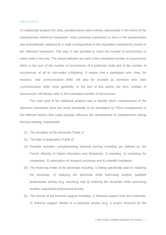#### *Data Analysis*

To statistically analyze the data, questionnaires were entirely represented in the terms of the competencies reference framework: every particular expression or term in the questionnaire was automatically replaced by a code corresponding to the equivalent competency (node) in the reference framework. This way, it was possible to count the number of occurrences of every node in the tree. The actual indicator we used is the cumulated number of occurrences which is the sum of the number of occurrences of a particular node and of the number of occurrences of all its sub-nodes (childrens). It means that a participant who cited, for instance, 'oral communication skills' will also be counted as someone who cited 'communication skills' more generally. In the rest of this article, the term 'number of occurrences' will always refer to the cumulated number of occurrences.

The main goal of the statistical analysis was to identify which competencies of the reference framework have the same probability to be developed by PhDs irrespectively of five different factors that could possibly influence the development of competencies during doctoral training, respectively:

- (1) The discipline of the doctorate (Table 1)
- (2) The date of graduation (Table 2)
- (3) Possible activities complementing doctoral training including (as defined by the French Ministry of Higher Education and Research): 1) teaching, 2) consulting for companies, 3) valorization of research outcomes and 4) scientific mediation.
- (4) The financing mode of the doctorate including: 1) being specifically paid for realizing the doctorate, 2) realizing the doctorate while exercising another qualified professional activity (e.g. teaching) and 3) realizing the doctorate while exercising another unqualified professional activity.
- (5) The source of the financial support including: 1) financial support from the University, 2) financial support related to a particular project (e.g. a project financed by the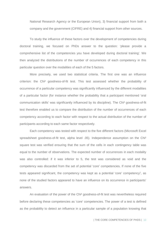National Research Agency or the European Union), 3) financial support from both a company and the government (CIFRE) and 4) financial support from other sources.

To study the influence of these factors over the development of competencies during doctoral training, we focused on PhDs answer to the question: 'please provide a comprehensive list of the competencies you have developed during doctoral training'. We then analyzed the distributions of the number of occurrences of each competency in this particular question over the modalities of each of the 5 factors.

More precisely, we used two statistical criteria. The first one was an influence criterion: the Chi² goodness-of-fit test. This test assessed whether the probability of occurrence of a particular competency was significantly influenced by the different modalities of a particular factor (for instance whether the probability that a participant mentioned 'oral communication skills' was significantly influenced by its discipline). The Chi² goodness-of-fit test therefore enabled us to compare the distribution of the number of occurrences of each competency according to each factor with respect to the actual distribution of the number of participants according to each same factor respectively.

Each competency was tested with respect to the five different factors (Microsoft Excel spreadsheet goodness-of-fit test, alpha level .05). Independence assumption on the Chi<sup>2</sup> square test was verified ensuring that the sum of the cells in each contingency table was equal to the number of observations. The expected number of occurrences in each modality was also controlled: if it was inferior to 5, the test was considered as void and the competency was discarded from the set of potential 'core' competencies. If none of the five tests appeared significant, the competency was kept as a potential 'core' competency<sup>1</sup>, as none of the studied factors appeared to have an influence on its occurrence in participants' answers.

An evaluation of the power of the Chi² goodness-of-fit test was nevertheless required before declaring these competencies as 'core' competencies. The power of a test is defined as the probability to detect an influence in a particular sample of a population knowing that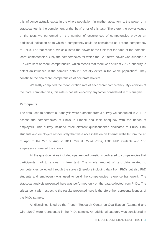this influence actually exists in the whole population (in mathematical terms, the power of a statistical test is the complement of the 'beta' error of this test). Therefore, the power values of the tests we performed on the number of occurrences of competencies provide an additional indication as to which a competency could be considered as a 'core' competency of PhDs. For that reason, we calculated the power of the Chi² test for each of the potential 'core' competencies. Only the competencies for which the Chi² test's power was superior to 0.7 were kept as 'core' competencies, which means that there was at least 70% probability to detect an influence in the sampled data if it actually exists in the whole population<sup>2</sup>. They constitute the final 'core' competencies of doctorate holders.

We lastly computed the mean citation rate of each 'core' competency. By definition of the 'core' competencies, this rate is not influenced by any factor considered in this analysis.

#### **Participants**

The data used to perform our analysis were extracted from a survey we conducted in 2011 to assess the competencies of PhDs in France and their adequacy with the needs of employers. This survey included three different questionnaires dedicated to PhDs, PhD students and employers respectively that were accessible on an Internet website from the 4<sup>th</sup> of April to the 29<sup>th</sup> of August 2011. Overall, 2794 PhDs, 1783 PhD students and 136 employers answered the survey.

All the questionnaires included open-ended questions dedicated to competencies that participants had to answer in free text. The whole amount of text data related to competencies collected through the survey (therefore including data from PhDs but also PhD students and employers) was used to build the competencies reference framework. The statistical analysis presented here was performed only on the data collected from PhDs. The critical point with respect to the results presented here is therefore the [representativeness](http://www.wordreference.com/enfr/representativeness) of the PhDs sample.

All disciplines listed by the French 'Research Center on Qualification' (Calmand and Giret 2010) were represented in the PhDs sample. An additional category was considered in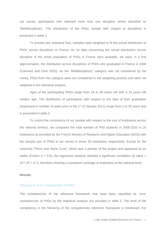our survey: participants who selected more than one discipline where classified as 'Multidisciplinary'. The distribution of the PhDs sample with respect to disciplines is presented in table 1.

To prevent any statistical bias, samples were weighted to fit the actual distribution of PhDs across disciplines in France. As no data concerning the actual distribution across discipline of the whole population of PhDs in France were available, we used, in a first approximation, the distribution across disciplines of PhDs who graduated in France in 2004 (Calmand and Giret 2010). As the 'Multidisciplinary' category was not considered by the Cereq, PhDs from this category were not considered in the weighting process and were not weighted in the statistical analysis.

Ages of the participating PhDs range from 24 to 90 years old with a 32 years old median age. The distribution of participants with respect to the date of their graduation (expressed in number of years prior to the 1<sup>st</sup> of January 2011) range from 1 to 50 years and is presented in table 2.

To control the consistency of our sample with respect to the size of institutions across the national territory, we compared the total number of PhD students in 2009-2010 in 25 institutions as provided by the French Ministry of Research and Higher Education (2010) with the sample size of PhDs in our survey in these 25 institutions respectively. Except for the university 'Pierre and Marie Curie', which was a partner of the project and appeared as an outlier (Cook's  $d = 5.5$ ), the regression analysis showed a significant correlation (p value  $\lt$ 10-4 , R² = 0.7), therefore showing a consistent coverage of institutions at the national level.

#### **Results**

#### *The pool of 'core' competencies of PhDs*

The competencies of the reference framework that have been classified as 'core' competencies of PhDs by the statistical analysis are provided in table 3. The level of the competency in the hierarchy of the competencies reference framework is mentioned. For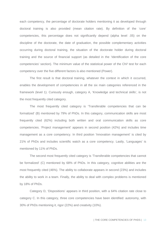each competency, the percentage of doctorate holders mentioning it as developed through doctoral training is also provided (mean citation rate). By definition of the 'core' competencies, this percentage does not significantly depend (alpha level .05) on the discipline of the doctorate, the date of graduation, the possible complementary activities occurring during doctoral training, the situation of the doctorate holder during doctoral training and the source of financial support (as detailed in the 'Identification of the core competencies' section). The minimum value of the statistical power of the Chi² test for each competency over the five different factors is also mentioned (Power).

The first result is that doctoral training, whatever the context in which it occurred, enables the development of competencies in all the six main categories referenced in the framework (level 1). Curiously enough, category A, 'Knowledge and technical skills', is not the most frequently cited category.

The most frequently cited category is 'Transferable competencies that can be formalized' (B) mentioned by 79% of PhDs. In this category, communication skills are most frequently cited (62%) including both written and oral communication skills as core competencies. 'Project management' appears in second position (42%) and includes time management as a core competency. In third position 'Innovation management' is cited by 21% of PhDs and includes scientific watch as a core competency. Lastly, 'Languages' is mentioned by 11% of PhDs.

The second most frequently cited category is 'Transferable competencies that cannot be formalized' (C) mentioned by 68% of PhDs. In this category, cognitive abilities are the most frequently cited (46%). The ability to collaborate appears in second (23%) and includes the ability to work in a team. Finally, the ability to deal with complex problems is mentioned by 18% of PhDs.

Category D, 'Dispositions' appears in third position, with a 64% citation rate close to category C. In this category, three core competencies have been identified: autonomy, with 30% of PhDs mentioning it, rigor (22%) and creativity (10%).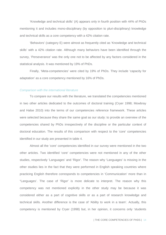'Knowledge and technical skills' (A) appears only in fourth position with 44% of PhDs mentioning it and includes mono-disciplinary (by opposition to pluri-disciplinary) knowledge and technical skills as a core competency with a 42% citation rate.

'Behaviors' (category E) were almost as frequently cited as 'Knowledge and technical skills' with a 42% citation rate. Although many behaviors have been identified through the survey, 'Perseverance' was the only one not to be affected by any factors considered in the statistical analysis. It was mentioned by 19% of PhDs.

Finally, 'Meta-competencies' were cited by 19% of PhDs. They include 'capacity for adaptation' as a core competency mentioned by 16% of PhDs.

#### *Comparison with the international literature*

To compare our results with the literature, we translated the competencies mentioned in two other articles dedicated to the outcomes of doctoral training (Cryer 1998; Mowbray and Halse 2010) into the terms of our competencies reference framework. These articles were selected because they share the same goal as our study: to provide an overview of the competencies shared by PhDs irrespectively of the discipline or the particular context of doctoral education. The results of this comparison with respect to the 'core' competencies identified in our study are presented in table 4.

Almost all the 'core' competencies identified in our survey were mentioned in the two other articles. Two identified 'core' competencies were not mentioned in any of the other studies, respectively 'Languages' and 'Rigor'. The reason why 'Languages' is missing in the other studies lies in the fact that they were performed in English speaking countries where practicing English therefore corresponds to competencies in 'Communication' more than in "Languages'. The case of 'Rigor' is more delicate to interpret. The reason why this competency was not mentioned explicitly in the other study may be because it was considered either as a part of cognitive skills or as a part of research knowledge and technical skills. Another difference is the case of 'Ability to work in a team'. Actually, this competency is mentioned by Cryer (1998) but, in her opinion, it concerns only 'students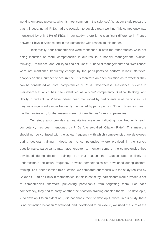working on group projects, which is most common in the sciences'. What our study reveals is that if, indeed, not all PhDs had the occasion to develop team working (this competency was mentioned by only 15% of PhDs in our study), there is no significant difference in France between PhDs in Science and in the Humanities with respect to this matter.

Reciprocally, four competencies were mentioned in both the other studies while not being identified as 'core' competencies in our results: 'Financial management', 'Critical thinking', 'Resilience' and 'Ability to find solutions'. "Financial management" and "Resilience" were not mentioned frequently enough by the participants to perform reliable statistical analysis on their number of occurrence. It is therefore an open question as to whether they can be considered as 'core' competencies of PhDs. Nevertheless, 'Resilience' is close to 'Perseverance' which has been identified as a 'core' competency. 'Critical thinking' and 'Ability to find solutions' have indeed been mentioned by participants in all disciplines, but they were significantly more frequently mentioned by participants in 'Exact' Sciences than in the Humanities and, for that reason, were not identified as 'core' competencies.

Our study also provides a quantitative measure indicating how frequently each competency has been mentioned by PhDs (the so-called 'Citation Rate'). This measure should not be confused with the actual frequency with which competencies are developed during doctoral training. Indeed, as no competencies where provided in the survey questionnaire, participants may have forgotten to mention some of the competencies they developed during doctoral training. For that reason, the 'Citation rate' is likely to underestimate the actual frequency to which competencies are developed during doctoral training. To further examine this question, we compared our results with the study realized by Sekhon (1989) on PhDs in mathematics. In this latest study, participants were provided a set of competencies, therefore preventing participants from forgetting them. For each competency, they had to notify whether their doctoral training enabled them: 1) to develop it, 2) to develop it to an extent or 3) did not enable them to develop it. Since, in our study, there is no distinction between 'developed' and 'developed to an extent', we used the sum of the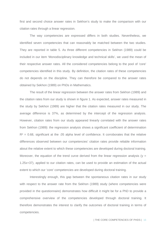first and second choice answer rates in Sekhon's study to make the comparison with our citation rates through a linear regression.

The way competencies are expressed differs in both studies. Nevertheless, we identified seven competencies that can reasonably be matched between the two studies. They are reported in table 5. As three different competencies in Sekhon (1989) could be included in our item 'Monodisciplinary knowledge and technical skills', we used the mean of their respective answer rates. All the considered competencies belong to the pool of 'core' competencies identified in this study. By definition, the citation rates of these competencies do not depends on the discipline. They can therefore be compared to the answer rates obtained by Sekhon (1989) on PhDs in Mathematics.

The result of the linear regression between the answer rates from Sekhon (1989) and the citation rates from our study is shown in figure 1. As expected, answer rates measured in the study by Sekhon (1989) are higher that the citation rates measured in our study. The average difference is 37%, as determined by the intercept of the regression analysis. However, citation rates from our study appeared linearly correlated with the answer rates from Sekhon (1989): the regression analysis shows a significant coefficient of determination  $R<sup>2</sup> = 0.68$ , significant at the .05 alpha level of confidence. It corroborates that the relative differences observed between our competencies' citation rates provide reliable information about the relative extent to which these competencies are developed during doctoral training. Moreover, the equation of the trend curve derived from the linear regression analysis ( $y =$ 1.25x+37), applied to our citation rates, can be used to provide an estimation of the actual extent to which our 'core' competencies are developed during doctoral training.

Interestingly enough, this gap between the spontaneous citation rates in our study with respect to the answer rate from the Sekhon (1989) study (where competencies were provided in the questionnaire) demonstrates how difficult it might be for a PhD to provide a comprehensive overview of the competencies developed through doctoral training. It therefore demonstrates the interest to clarify the outcomes of doctoral training in terms of competencies.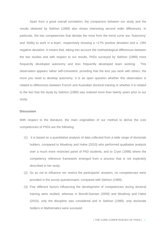Apart from a good overall correlation, the comparison between our study and the results obtained by Sekhon (1989) also shows interesting second order differences. In particular, the two competencies that deviate the most from the trend curve are 'Autonomy' and 'Ability to work in a team', respectively showing a +17% positive deviation and a -19% negative deviation. It means that, taking into account the methodological differences between the two studies and with respect to our results, PhDs surveyed by Sekhon (1989) more frequently developed autonomy and less frequently developed team working. This observation appears rather self-consistent, providing that the less you work with others, the more you need to develop autonomy. It is an open question whether this observation is related to differences between French and Australian doctoral training or whether it is related to the fact that the study by Sekhon (1989) was realized more than twenty years prior to our study.

#### **Discussion**

With respect to the literature, the main originalities of our method to derive the core competencies of PhDs are the following:

- (1) It is based on a quantitative analysis of data collected from a wide range of doctorate holders, compared to Mowbray and Halse (2010) who performed qualitative analysis over a much more restricted panel of PhD students, and to Cryer (1998) where the competency reference framework emerged from a process that is not explicitely described in her study.
- (2) So as not to influence nor restrict the participants' answers, no competencies were provided in the survey questionnaire, compared with Sekhon (1989).
- (3) Five different factors influencing the development of competencies during doctoral training were studied, whereas in Borrell-Damian (2009) and Mowbray and Halse (2010), only the discipline was considered and in Sekhon (1989), only doctorate holders in Mathematics were surveyed.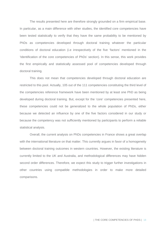The results presented here are therefore strongly grounded on a firm empirical base. In particular, as a main difference with other studies, the identified core competencies have been tested statistically to verify that they have the same probability to be mentioned by PhDs as competencies developed through doctoral training whatever the particular conditions of doctoral education (i.e irrespectively of the five 'factors' mentioned in the 'Identification of the core competencies of PhDs' section). In this sense, this work provides the first empirically and statistically assessed pool of competencies developed through doctoral training.

This does not mean that competencies developed through doctoral education are restricted to this pool. Actually, 105 out of the 111 competencies constituting the third level of the competencies reference framework have been mentioned by at least one PhD as being developed during doctoral training. But, except for the 'core' competencies presented here, these competencies could not be generalized to the whole population of PhDs, either because we detected an influence by one of the five factors considered in our study or because the competency was not sufficiently mentioned by participants to perform a reliable statistical analysis.

Overall, the current analysis on PhDs competencies in France shows a great overlap with the international literature on that matter. This currently argues in favor of a homogeneity between doctoral training outcomes in western countries. However, the existing literature is currently limited to the UK and Australia, and methodological differences may have hidden second order differences. Therefore, we expect this study to trigger further investigations in other countries using compatible methodologies in order to make more detailed comparisons.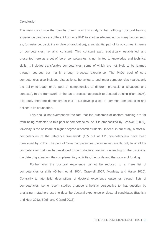#### **Conclusion**

The main conclusion that can be drawn from this study is that, although doctoral training experience can be very different from one PhD to another (depending on many factors such as, for instance, discipline or date of graduation), a substantial part of its outcomes, in terms of competencies, remains constant. This constant part, statistically established and presented here as a set of 'core' competencies, is not limited to knowledge and technical skills. It includes transferable competencies, some of which are not likely to be learned through courses but mainly through practical experience. The PhDs pool of core competencies also includes dispositions, behaviours, and meta-competencies (particularly the ability to adapt one's pool of competencies to different professional situations and contexts). In the framework of the 'as a process' approach to doctoral training (Park 2005), this study therefore demonstrates that PhDs develop a set of common competencies and delineate its boundaries.

This should not overshadow the fact that the outcomes of doctoral training are far from being restricted to this pool of competencies. As it is emphasized by Craswell (2007), 'diversity is the hallmark of higher degree research students'. Indeed, in our study, almost all competencies of the reference framework (105 out of 111 competencies) have been mentioned by PhDs. The pool of 'core' competencies therefore represents only ¼ of all the competencies that can be developed through doctoral training, depending on the discipline, the date of graduation, the complementary activities, the mode and the source of funding.

Furthermore, the doctoral experience cannot be reduced to a mere list of competencies or skills (Gilbert et al. 2004, Craswell 2007, Mowbray and Halse 2010). Contrarily to 'atomistic' descriptions of doctoral experience outcomes through lists of competencies, some recent studies propose a holistic perspective to that question by analysing metaphors used to describe doctoral experience or doctoral candidates (Baptista and Huet 2012, Bégin and Gérard 2013).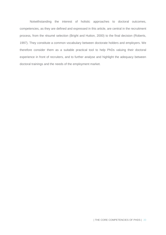Notwithstanding the interest of holistic approaches to doctoral outcomes, competencies, as they are defined and expressed in this article, are central in the recruitment process, from the résumé selection (Bright and Hutton, 2000) to the final decision (Roberts, 1997). They constitute a common vocabulary between doctorate holders and employers. We therefore consider them as a suitable practical tool to help PhDs valuing their doctoral experience in front of recruiters, and to further analyse and highlight the adequacy between doctoral trainings and the needs of the employment market.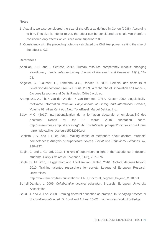#### **Notes**

- 1. Actually, we also considered the size of the effect as defined in Cohen (1988). According to him, if its size is inferior to 0.3, the effect can be considered as small. We therefore considered only effects which sizes were superior to 0.3.
- 2. Consistently with the preceding note, we calculated the Chi2 test power, setting the size of the effect to 0.3.

#### **References**

- Abdullah, A.H. and I. Sentosa. 2012. Human resource competency models: changing evolutionary trends. *Interdisciplinary Journal of Research and Business*, 11(1), 11– 25.
- Angelier, C., Biausser, H., Lehmann, J-C., Randet D. 2009. L'emploi des docteurs et l'évolution du doctorat. From « Futuris, 2009, la recherche et l'innovation en France », Jacques Lesourne and Denis Randet, Odile Jacob ed.
- Arampatzis, A., Th.P; van der Weide, P. van Bommel, C.H.A. Koster. 2000. Linguisticallymotivated information retrieval. *Encyclopedia of Library and Information Science,*  Volume 69. Allen Kent ed., New York/Basel: Marcel Dekker, Inc.
- Baby, M-C. (2010) Internationalisation de la formation doctorale et employabilité des docteurs. Report for the 15 march 2010 orientation board. http://ressources.campusfrance.org/publi\_institu/etude\_prospect/noindex/conseil\_orie n/fr/employabilite\_docteurs15032010.pdf
- Baptista, A.V. and I. Huet. 2012. [Making sense of metaphors about doctoral students'](http://www.academia.edu/1877602/Making_sense_of_metaphors_about_doctoral_students_competences_Analysis_of_supervisors_voices)  [competences: Analysis of supervisors' voices.](http://www.academia.edu/1877602/Making_sense_of_metaphors_about_doctoral_students_competences_Analysis_of_supervisors_voices) *Social and Behavioral Sciences*, 47, 930–937.
- Bégin, C. and L. Gérard. 2012. The role of supervisors in light of the experience of doctoral students. *Policy Futures in Education*, 11(3), 267–276.
- Bogle, D., M. Dron, J. Eggermont and J. Willem van Henten. 2010. Doctoral degrees beyond 2010: Training talented researchers for society. League of European Research Universities.

http://www.leru.org/files/publications/LERU\_Doctoral\_degrees\_beyond\_2010.pdf

- Borrell-Damian, L. 2009. *Collaborative doctoral education*. Brussels: European University Association.
- Boud, D. and A. Lee. 2008. Framing doctoral education as practice. In *Changing practice of doctoral education*, ed. D. Boud and A. Lee, 10–22. London/New York: Routledge.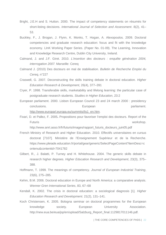- Bright, J.E.H and S. Hutton. 2000. The impact of competency statements on résumés for short-listing decisions. *International Journal of Selection and Assessment*. 8(2), 41– 53.
- Buckley, F., J. Brogan, J. Flynn, K. Monks, T. Hogan, A. Alexopoulos. 2009. Doctoral competencies and graduate research education: focus and fit with the knowledge economy. LInK Working Paper Series. (Paper No. 01-09). The Learning, Innovation and Knowledge Research Centre, Dublin City University, Ireland.
- Calmand, J. and J.F. Giret. 2010. *L'insertion des docteurs : enquête génération 2004, interrogation 2007.* Marseille: Cereq
- Calmand J. (2010) Des docteurs en mal de stabilisation. *Bulletin de Recherche Emploi du Cereq*, n°227
- Craswell, G. 2007. Deconstructing the skills training debate in doctoral education. *Higher Education Research & Development*, 26(4), 377–391
- Cryer, P. 1998. Transferable skills, marketability and lifelong learning: the particular case of postgraduate research students. *Studies in Higher Education*, 23:2
- European parliament. 2000. Lisbon European Council 23 and 24 march 2000 : presidency conclusions. The energy energy energy example the energy example of the parliament. [http://www.europarl.europa.eu/summits/lis1\\_en.htm.](http://www.europarl.europa.eu/summits/lis1_en.htm)
- Fixari, D. et Pallez, F. 2005**.** Propositions pour favoriser l'emploi des docteurs. Report of the Futuris workshop.
	- http://www.anrt.asso.fr/fr/futuris/images/rapport\_futuris\_docteurs\_juin05.pdf
- French Ministry of Research and Higher Education. 2010. Effectifs universitaires en cursus doctorat [7107]. Ministère de l'Enseignement Supérieur et de la Recherche. https://www.pleiade.education.fr/portal/gear/generic/SelectPageContent?itemDesc=c ontenu&contentid=7041782
- Gilbert, R., J. Balatti, P. Turney and H. Whitehouse. 2004. The generic skills debate in research higher degrees. *Higher Education Research and Development*, 23(3), 375– 388.
- Hoffmann, T. 1999. The meanings of competency. *Journal of European Industrial Training*, 23(6), 275–285.
- Kehm, B.M. 2006. Doctoral education in Europe and North America: a comparative analysis. *Wenner Gren International Series*, 83, 67–68
- Kendall, K. 2002. The crisis in doctoral education: a sociological diagnosis [1]. *Higher Education Research and Development.* 21(2), 131–141.
- Koch Christensen, K. 2005. Bologna seminar on doctoral programmes for the European knowledge society. European University Association. http://new.eua.be/eua/jsp/en/upload/Salzburg\_Report\_final.1129817011146.pdf.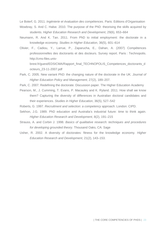Le Boterf, G. 2011. *Ingénierie et évaluation des compétences*. Paris: Editions d'Organisation

Mowbray, S. And C. Halse. 2010. The purpose of the PhD: theorising the skills acquired by students. *Higher Education Research and Development*, 29(6), 653–664

- Neumann, R. And K. Tan. 2011. From PhD to initial employment: the doctorate in a knowledge economy. *Studies in Higher Education*, 36(5), 601–614
- Olivier, F., Cadiou, Y., Larrue, P., Zaparucha, E., Dahan, A. (2007) Compétences professionnelles des doctorants et des docteurs. Survey report. Paris : Technopolis. http://cms-files.univbrest.fr/guest/EDSICMA/Rapport\_final\_TECHNOPOLIS\_Competences\_doctorants\_d
- Park, C. 2005. New variant PhD: the changing nature of the doctorate in the UK. *Journal of Higher Education Policy and Management*, 27(2), 189–207.

octeurs\_23-11-2007.pdf

- Park, C. 2007. Redefining the doctorate. Discussion paper. The Higher Education Academy
- Pearson, M., J. Cumming, T. Evans, P. Macauley and K. Ryland. 2011. How shall we know them? Capturing the diversity of differences in Australian doctoral candidates and their experiences. *Studies in Higher Education*, 36(5), 527–542
- Roberts, G. 1997. *Recruitment and selection: a competency approach*. London: CIPD.
- Sekhon, J.G. 1989. PhD education and Australia's industrial future: time to think again. *Higher Education Research and Development*, 8(2), 191–215
- Strauss, A. and Corbin J. 1998. *Basics of qualitative research: techniques and procedures for developing grounded theory*. Thousand Oaks, CA: Sage
- Usher, R. 2002. A diversity of doctorates: fitness for the knowledge economy. *Higher Education Research and Development*, 21(2), 143–153.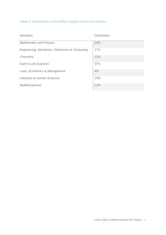#### **Table 1: distribution of the PhDs sample across disciplines**

| <b>Discipline</b>                               | <b>Distribution</b> |
|-------------------------------------------------|---------------------|
| <b>Mathematics and Physics</b>                  | 10%                 |
| Engineering, Mechanics, Electronics & Computing | 17%                 |
| Chemistry                                       | 11%                 |
| Earth & Life Sciences                           | 37%                 |
| Laws, Economics & Management                    | 4%                  |
| Literature & Human Sciences                     | 10%                 |
| Multidisciplinary                               | 11%                 |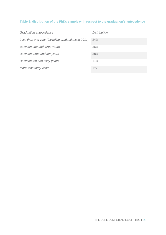#### **Table 2: distribution of the PhDs sample with respect to the graduation's antecedence**

| Graduation antecedence                             | Distribution |
|----------------------------------------------------|--------------|
| Less than one year (including graduations in 2011) | 24%          |
| Between one and three years                        | 26%          |
| Between three and ten years                        | 38%          |
| Between ten and thirty years                       | 11%          |
| More than thirty years                             | 1%           |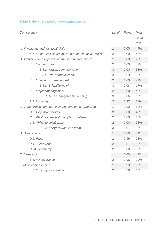#### **Table 3: the PhD's pool of core competencies**

| Competency                                             |                | Power<br>Level |          |
|--------------------------------------------------------|----------------|----------------|----------|
|                                                        |                |                | Citation |
|                                                        |                |                | rate     |
| A. Knowledge and technical skills                      | $\mathbf{1}$   | 1.00           | 44%      |
| A.1. Mono-disciplinary knowledge and technical skills  | $\overline{2}$ | 1.00           | 42%      |
| B. Transferable competencies that can be formalized    | $\mathbf{1}$   | 1.00           | 79%      |
| <b>B.3. Communication</b>                              | $\overline{2}$ | 1.00           | 62%      |
| B.3.a. Written communication                           | $\mathfrak{Z}$ | 1.00           | 38%      |
| B.3.b. Oral communication                              | 3              | 0.93           | 15%      |
| B.5. Innovation management                             | $\overline{2}$ | 1.00           | 21%      |
| B.5.a. Scientific watch                                | 3              | 0.98           | 17%      |
| <b>B.6. Project management</b>                         | $\overline{2}$ | 1.00           | 42%      |
| B.6.d. Time management. planning                       | 3              | 0.86           | 12%      |
| <b>B.7. Languages</b>                                  | $\overline{2}$ | 0.87           | 11%      |
| C. Transferable competencies that cannot be formalized |                | 1.00           | 68%      |
| C.3. Cognitive abilities                               | $\overline{2}$ | 1.00           | 46%      |
| C.4. Ability to deal with complex problems             | $\overline{2}$ | 1.00           | 18%      |
| C.5. Ability to collaborate                            | $\overline{2}$ | 1.00           | 23%      |
| C.5.a. Ability to work in a team                       | 3              | 0.94           | 15%      |
| D. Dispositions                                        |                | 1.00           | 64%      |
| D.2. Rigor                                             | $\overline{2}$ | 0.99           | 22%      |
| D.16. Creativity                                       | 2              | 0.8            | 10%      |
| D.24. Autonomy                                         | $\overline{2}$ | 1.00           | 30%      |
| E. Behaviors                                           |                | 1.00           | 42%      |
| E.8. Perseverance                                      | 2              | 0.98           | 19%      |
| F. Meta-competencies                                   | 1              | 0.99           | 19%      |
| F.1. Capacity for adaptation                           | $\overline{2}$ | 0.96           | 16%      |
|                                                        |                |                |          |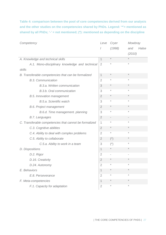**Table 4: comparison between the pool of core competencies derived from our analysis and the other studies on the competencies shared by PhDs. Legend: '\*'= mentioned as shared by all PhDs; '-' = not mentioned; (\*): mentioned as depending on the discipline**

| Competency                                             |                | Cryer       | Mowbray      |  |
|--------------------------------------------------------|----------------|-------------|--------------|--|
|                                                        | I              | (1998)      | Halse<br>and |  |
|                                                        |                |             | (2010)       |  |
| A. Knowledge and technical skills                      | $\mathbf 1$    | $\star$     | $\star$      |  |
| A.1. Mono-disciplinary knowledge and technical         | $\overline{2}$ | $\star$     | $\star$      |  |
| skills                                                 |                |             |              |  |
| B. Transferable competencies that can be formalized    |                | $\ast$      | $\star$      |  |
| <b>B.3. Communication</b>                              |                | $\star$     | $\star$      |  |
| B.3.a. Written communication                           | 3              | $\star$     | $\star$      |  |
| B.3.b. Oral communication                              | 3              | $\star$     | $\star$      |  |
| B.5. Innovation management                             | $\overline{2}$ | $\star$     | $\star$      |  |
| B.5.a. Scientific watch                                | 3              | $\star$     | $\star$      |  |
| <b>B.6. Project management</b>                         | $\overline{2}$ | $\star$     | $\star$      |  |
| B.6.d. Time management. planning                       | 3              | $\star$     | $\star$      |  |
| <b>B.7. Languages</b>                                  | $\overline{2}$ |             |              |  |
| C. Transferable competencies that cannot be formalized | 1              | $\star$     | $\star$      |  |
| C.3. Cognitive abilities                               | $\overline{2}$ | $\ast$      | $\star$      |  |
| C.4. Ability to deal with complex problems             | $\overline{2}$ | $\star$     | $\star$      |  |
| C.5. Ability to collaborate                            | $\overline{2}$ | $(\dot{z})$ | $\ast$       |  |
| C.5.a. Ability to work in a team                       | 3              | $(\dot{z})$ | $\star$      |  |
| D. Dispositions                                        |                | $\ast$      | $\star$      |  |
| D.2. Rigor                                             | $\overline{2}$ |             |              |  |
| D.16. Creativity                                       | $\overline{2}$ | $\star$     | $\star$      |  |
| D.24. Autonomy                                         | $\overline{2}$ | $\star$     | $\star$      |  |
| E. Behaviors                                           |                |             |              |  |
| E.8. Perseverance                                      | $\overline{2}$ | $\star$     | $\star$      |  |
| F. Meta-competencies                                   | 1              | $\ast$      | $\star$      |  |
| F.1. Capacity for adaptation                           | $\overline{2}$ | $\star$     | $\star$      |  |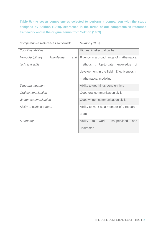**Table 5: the seven competencies selected to perform a comparison with the study designed by Sekhon (1989), expressed in the terms of our competencies reference framework and in the original terms from Sekhon (1989)**

*Competencies Reference Framework Sekhon (1989)*

| Cognitive abilities       |           | Highest intellectual caliber               |                       |  |  |                                          |  |     |
|---------------------------|-----------|--------------------------------------------|-----------------------|--|--|------------------------------------------|--|-----|
| Monodisciplinary          | knowledge | and                                        |                       |  |  | Fluency in a broad range of mathematical |  |     |
| technical skills          |           |                                            |                       |  |  | methods ; Up-to-date knowledge of        |  |     |
|                           |           | development in the field; Effectiveness in |                       |  |  |                                          |  |     |
|                           |           |                                            | mathematical modeling |  |  |                                          |  |     |
| Time management           |           | Ability to get things done on time         |                       |  |  |                                          |  |     |
| Oral communication        |           | Good oral communication skills             |                       |  |  |                                          |  |     |
| Written communication     |           | Good written communication skills          |                       |  |  |                                          |  |     |
| Ability to work in a team |           | Ability to work as a member of a research  |                       |  |  |                                          |  |     |
|                           |           |                                            | team                  |  |  |                                          |  |     |
| Autonomy                  |           |                                            | Ability to work       |  |  | unsupervised                             |  | and |
|                           |           |                                            | undirected            |  |  |                                          |  |     |
|                           |           |                                            |                       |  |  |                                          |  |     |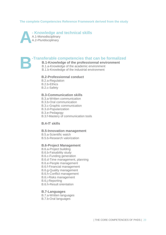#### **The complete Competencies Reference Framework derived from the study**

**- Knowledge and technical skills** A.1-Monodisciplinary A.2-Pluridisciplinary **A**

#### **-Transferable competencies that can be formalized**

- **B.1-Knowledge of the professionnal environment**
- B.1.a-Knowledge of the academic environment
- B.1.b-Knowledge of the industrial environment

#### **B.2-Professionnal conduct**

- B.2.a-Regulation
- B.2.b-Ethics

**B**

B.2.c-Safety

#### **B.3-Communication skills**

- B.3.a-Written communication
- B.3.b-Oral communication
- B.3.c-Graphic communication
- B.3.d-Popularization
- B.3.e-Pedagogy
- B.3.f-Mastery of communication tools

#### **B.4-IT skills**

#### **B.5-Innovation management**

- B.5.a-Scientific watch
- B.5.b-Research valorization

#### **B.6-Project Management**

- B.6.a-Project building
- B.6.b-Faisability study
- B.6.c-Funding generation
- B.6.d-Time management, planning
- B.6.e-People management
- B.6.f-Financial management
- B.6.g-Quality management
- B.6.h-Conflict management
- B.6.i-Risks management
- B.6.j-Reporting
- B.6.h-Result orientation

#### **B.7-Languages**

- B.7.a-Written languages
- B.7.b-Oral languages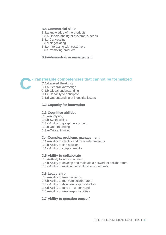#### **B.8-Commercial skills**

- B.8.a-knowledge of the products
- B.8.b-Understanding of customer's needs
- B.8.c-Canvassing
- B.8.d-Negociating
- B.8.e-Interacting with customers
- B.8.f Promoting products

#### **B.9-Administrative management**

### **-Transferable competencies that cannot be formalized C**

#### **C.1-Lateral thinking**

- C.1.a-General knowledge
- C.1.b-Global understanding
- C.1.c-Capacity to anticipate
- C.1.d-Understanding of industrial issues

#### **C.2-Capacity for innovation**

#### **C.3-Cognitive abilities**

C.3.a-Analysing C.3.b-Synthesizing C.3.c-Ability to grasp the abstract C.3.d-Understanding C.3.e-Critical thinking

#### **C.4-Complex problems management**

C.4.a-Ability to identify and formulate problems C.4.b-Ability to find solutions C.4.c-Ability to intepret results

#### **C.5-Ability to collaborate**

C.5.A-Ability to work in a team C.5.b-Ability to develop and maintain a network of collaborators C.5.c-Ability to work in multicultural environments

#### **C.6-Leadership**

C.6.a-Ability to take decisions

- C.6.b-Ability to motivate collaborators
- C.6.c-Ability to delegate responsabilities
- C.6.d-Ability to take the upper-hand

C.6.e-Ability to take responsabilities

#### **C.7-Ability to question oneself**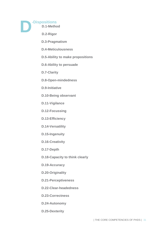**D**

**-Dispositions D.1-Method** 

**D.2-Rigor**

**D.3-Pragmatism** 

**D.4-Meticulousness** 

- **D.5-Ability to make propositions**
- **D.6-Ability to persuade**
- **D.7-Clarity**
- **D.8-Open-mindedness**
- **D.9-Initiative**
- **D.10-Being observant**
- **D.11-Vigilance**
- **D.12-Focussing**
- **D.13-Efficiency**
- **D.14-Versatility**
- **D.15-Ingenuity**
- **D.16-Creativity**
- **D.17-Depth**
- **D.18-Capacity to think clearly**
- **D.19-Accuracy**
- **D.20-Originality**
- **D.21-Perceptiveness**
- **D.22-Clear-headedness**
- **D.23-Correctness**
- **D.24-Autonomy**
- **D.25-Dexterity**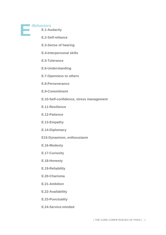

**-Behaviors** 

- **E.1-Audacity**
- **E.2-Self-reliance**
- **E.3-Sense of hearing**
- **E.4-Interpersonal skills**
- **E.5-Tolerance**
- **E.6-Understanding**
- **E.7-Openness to others**
- **E.8-Perseverance**
- **E.9-Commitment**
- **E.10-Self-confidence, stress management**
- **E.11-Resilience**
- **E.12-Patience**
- **E.13-Empathy**
- **E.14-Diplomacy**
- **E15-Dynamism, enthousiasm**
- **E.16-Modesty**
- **E.17-Curiosity**
- **E.18-Honesty**
- **E.19-Reliability**
- **E.20-Charisma**
- **E.21-Ambition**
- **E.22-Availability**
- **E.23-Punctuality**
- **E.24-Service-minded**